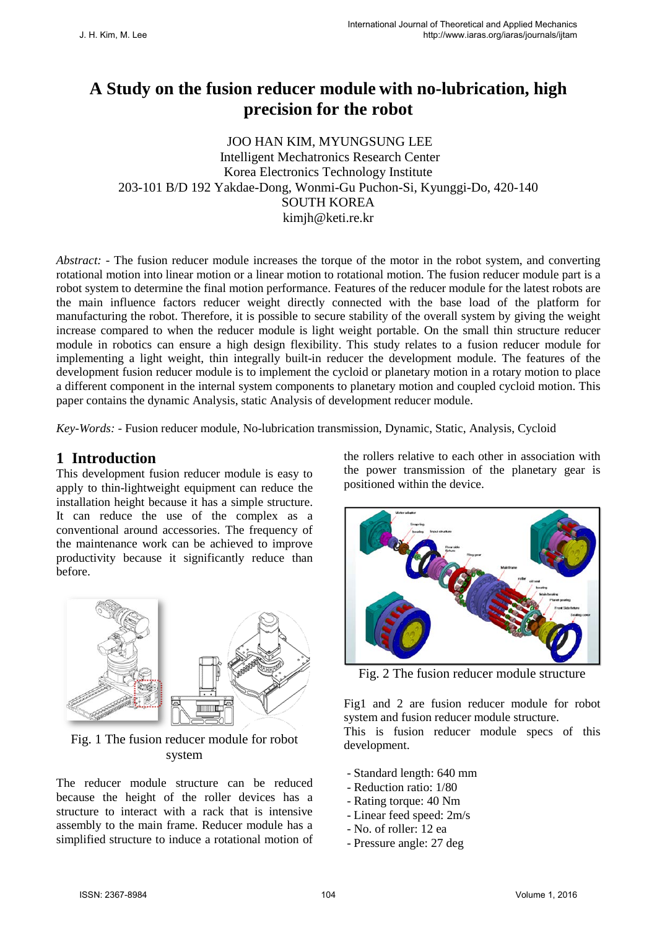# **A Study on the fusion reducer module with no-lubrication, high precision for the robot**

JOO HAN KIM, MYUNGSUNG LEE Intelligent Mechatronics Research Center Korea Electronics Technology Institute 203-101 B/D 192 Yakdae-Dong, Wonmi-Gu Puchon-Si, Kyunggi-Do, 420-140 SOUTH KOREA kimjh@keti.re.kr

*Abstract:* - The fusion reducer module increases the torque of the motor in the robot system, and converting rotational motion into linear motion or a linear motion to rotational motion. The fusion reducer module part is a robot system to determine the final motion performance. Features of the reducer module for the latest robots are the main influence factors reducer weight directly connected with the base load of the platform for manufacturing the robot. Therefore, it is possible to secure stability of the overall system by giving the weight increase compared to when the reducer module is light weight portable. On the small thin structure reducer module in robotics can ensure a high design flexibility. This study relates to a fusion reducer module for implementing a light weight, thin integrally built-in reducer the development module. The features of the development fusion reducer module is to implement the cycloid or planetary motion in a rotary motion to place a different component in the internal system components to planetary motion and coupled cycloid motion. This paper contains the dynamic Analysis, static Analysis of development reducer module.

*Key-Words: -* Fusion reducer module, No-lubrication transmission, Dynamic, Static, Analysis, Cycloid

### **1 Introduction**

This development fusion reducer module is easy to apply to thin-lightweight equipment can reduce the installation height because it has a simple structure. It can reduce the use of the complex as a conventional around accessories. The frequency of the maintenance work can be achieved to improve productivity because it significantly reduce than before.



#### Fig. 1 The fusion reducer module for robot system

The reducer module structure can be reduced because the height of the roller devices has a structure to interact with a rack that is intensive assembly to the main frame. Reducer module has a simplified structure to induce a rotational motion of the rollers relative to each other in association with the power transmission of the planetary gear is positioned within the device.



Fig. 2 The fusion reducer module structure

Fig1 and 2 are fusion reducer module for robot system and fusion reducer module structure. This is fusion reducer module specs of this development.

- Standard length: 640 mm
- Reduction ratio: 1/80
- Rating torque: 40 Nm
- Linear feed speed: 2m/s
- No. of roller: 12 ea
- Pressure angle: 27 deg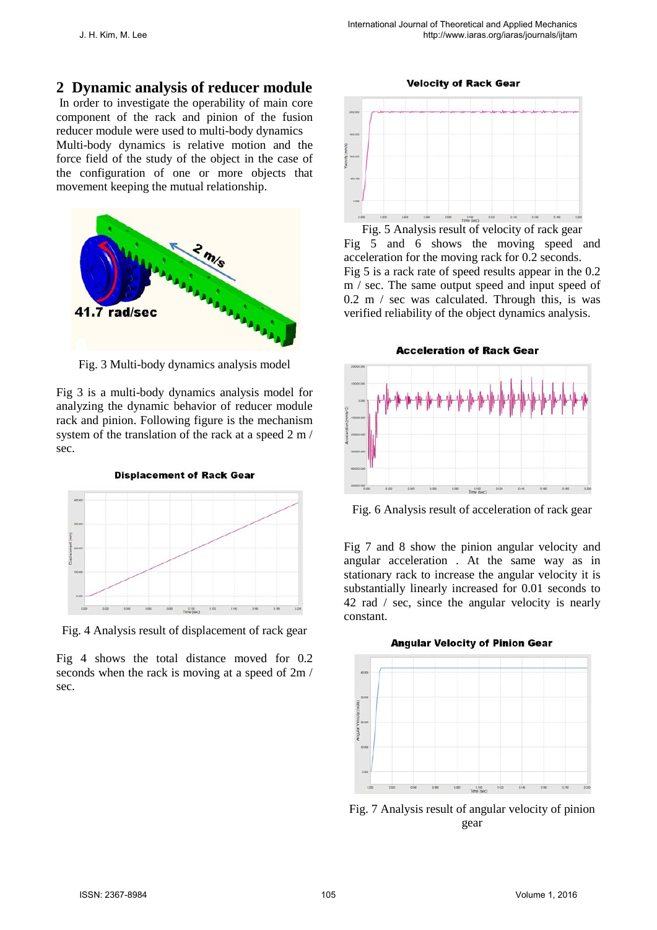**Velocity of Rack Gear** 

### **2 Dynamic analysis of reducer module**

In order to investigate the operability of main core component of the rack and pinion of the fusion reducer module were used to multi-body dynamics Multi-body dynamics is relative motion and the force field of the study of the object in the case of the configuration of one or more objects that movement keeping the mutual relationship.



Fig. 3 Multi-body dynamics analysis model

Fig 3 is a multi-body dynamics analysis model for analyzing the dynamic behavior of reducer module rack and pinion. Following figure is the mechanism system of the translation of the rack at a speed 2 m / sec.



Fig. 4 Analysis result of displacement of rack gear

Fig 4 shows the total distance moved for 0.2 seconds when the rack is moving at a speed of 2m / sec.

 $0.080$   $0.180$   $0.120$ 

Fig. 5 Analysis result of velocity of rack gear Fig 5 and 6 shows the moving speed and acceleration for the moving rack for 0.2 seconds. Fig 5 is a rack rate of speed results appear in the 0.2 m / sec. The same output speed and input speed of 0.2 m / sec was calculated. Through this, is was verified reliability of the object dynamics analysis.

**Acceleration of Rack Gear** 



Fig. 6 Analysis result of acceleration of rack gear

Fig 7 and 8 show the pinion angular velocity and angular acceleration . At the same way as in stationary rack to increase the angular velocity it is substantially linearly increased for 0.01 seconds to 42 rad / sec, since the angular velocity is nearly constant.



Fig. 7 Analysis result of angular velocity of pinion gear

**Angular Velocity of Pinion Gear**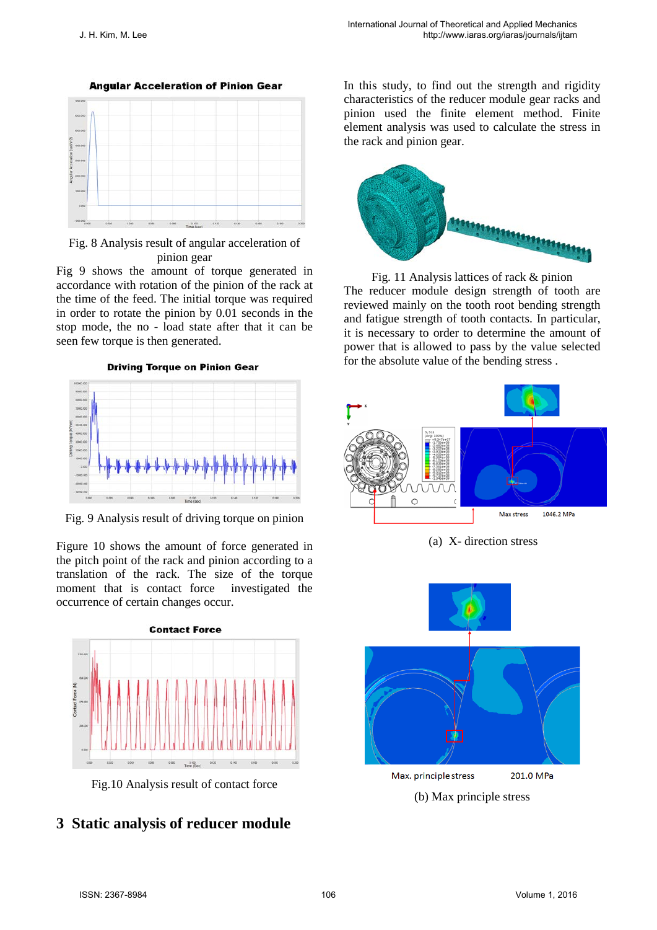

Fig. 8 Analysis result of angular acceleration of pinion gear

Fig 9 shows the amount of torque generated in accordance with rotation of the pinion of the rack at the time of the feed. The initial torque was required in order to rotate the pinion by 0.01 seconds in the stop mode, the no - load state after that it can be seen few torque is then generated.

**Driving Torque on Pinion Gear** 



Fig. 9 Analysis result of driving torque on pinion

Figure 10 shows the amount of force generated in the pitch point of the rack and pinion according to a translation of the rack. The size of the torque moment that is contact force investigated the occurrence of certain changes occur.



Fig.10 Analysis result of contact force

# **3 Static analysis of reducer module**

In this study, to find out the strength and rigidity characteristics of the reducer module gear racks and pinion used the finite element method. Finite element analysis was used to calculate the stress in the rack and pinion gear.



Fig. 11 Analysis lattices of rack & pinion The reducer module design strength of tooth are reviewed mainly on the tooth root bending strength and fatigue strength of tooth contacts. In particular, it is necessary to order to determine the amount of power that is allowed to pass by the value selected for the absolute value of the bending stress .



(a) X- direction stress